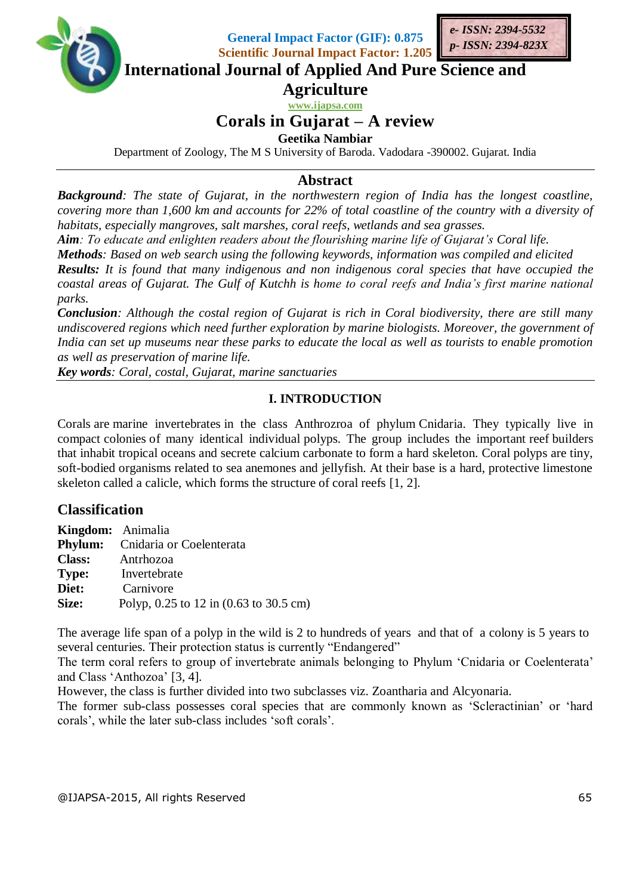

**General Impact Factor (GIF): 0.875 Scientific Journal Impact Factor: 1.205**



**International Journal of Applied And Pure Science and**

**Agriculture**

**www.ijapsa.com**

# **Corals in Gujarat – A review**

**Geetika Nambiar**

Department of Zoology, The M S University of Baroda. Vadodara -390002. Gujarat. India

#### **Abstract**

*Background: The state of Gujarat, in the northwestern region of India has the longest coastline, covering more than 1,600 km and accounts for 22% of total coastline of the country with a diversity of habitats, especially mangroves, salt marshes, coral reefs, wetlands and sea grasses.* 

*Aim: To educate and enlighten readers about the flourishing marine life of Gujarat's Coral life.*

*Methods: Based on web search using the following keywords, information was compiled and elicited Results: It is found that many indigenous and non indigenous coral species that have occupied the coastal areas of Gujarat. The Gulf of Kutchh is home to coral reefs and India's first marine national parks.*

*Conclusion: Although the costal region of Gujarat is rich in Coral biodiversity, there are still many undiscovered regions which need further exploration by marine biologists. Moreover, the government of India can set up museums near these parks to educate the local as well as tourists to enable promotion as well as preservation of marine life.* 

*Key words: Coral, costal, Gujarat, marine sanctuaries*

#### **I. INTRODUCTION**

Corals are marine invertebrates in the class Anthrozroa of phylum Cnidaria. They typically live in compact colonies of many identical individual polyps. The group includes the important reef builders that inhabit tropical oceans and secrete calcium carbonate to form a hard skeleton. Coral polyps are tiny, soft-bodied organisms related to sea anemones and jellyfish. At their base is a hard, protective limestone skeleton called a calicle, which forms the structure of coral reefs [1, 2].

## **Classification**

| <b>Kingdom:</b> Animalia |                                         |
|--------------------------|-----------------------------------------|
|                          | <b>Phylum:</b> Cnidaria or Coelenterata |
|                          | <b>Class:</b> Antrhozoa                 |
| Type:                    | Invertebrate                            |
| Diet:                    | Carnivore                               |
| Size:                    | Polyp, 0.25 to 12 in (0.63 to 30.5 cm)  |

The average life span of a polyp in the wild is 2 to hundreds of years and that of a colony is 5 years to several centuries. Their protection status is currently "Endangered"

The term coral refers to group of invertebrate animals belonging to Phylum 'Cnidaria or Coelenterata' and Class 'Anthozoa' [3, 4].

However, the class is further divided into two subclasses viz. Zoantharia and Alcyonaria.

The former sub-class possesses coral species that are commonly known as 'Scleractinian' or 'hard corals', while the later sub-class includes 'soft corals'.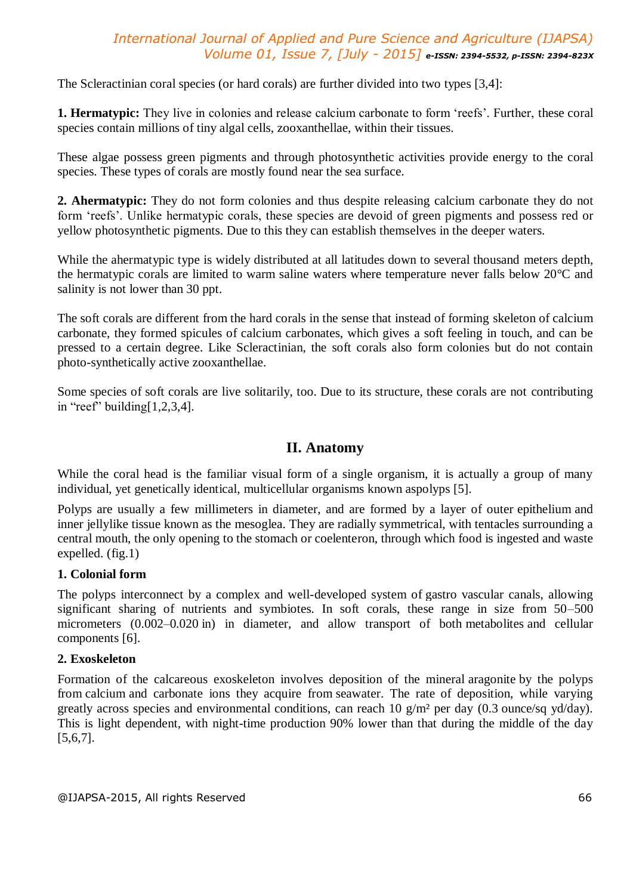The Scleractinian coral species (or hard corals) are further divided into two types [3,4]:

**1. Hermatypic:** They live in colonies and release calcium carbonate to form 'reefs'. Further, these coral species contain millions of tiny algal cells, zooxanthellae, within their tissues.

These algae possess green pigments and through photosynthetic activities provide energy to the coral species. These types of corals are mostly found near the sea surface.

**2. Ahermatypic:** They do not form colonies and thus despite releasing calcium carbonate they do not form 'reefs'. Unlike hermatypic corals, these species are devoid of green pigments and possess red or yellow photosynthetic pigments. Due to this they can establish themselves in the deeper waters.

While the ahermatypic type is widely distributed at all latitudes down to several thousand meters depth, the hermatypic corals are limited to warm saline waters where temperature never falls below 20°C and salinity is not lower than 30 ppt.

The soft corals are different from the hard corals in the sense that instead of forming skeleton of calcium carbonate, they formed spicules of calcium carbonates, which gives a soft feeling in touch, and can be pressed to a certain degree. Like Scleractinian, the soft corals also form colonies but do not contain photo-synthetically active zooxanthellae.

Some species of soft corals are live solitarily, too. Due to its structure, these corals are not contributing in "reef" building $[1,2,3,4]$ .

#### **II. Anatomy**

While the coral head is the familiar visual form of a single organism, it is actually a group of many individual, yet genetically identical, multicellular organisms known aspolyps [5].

Polyps are usually a few millimeters in diameter, and are formed by a layer of outer epithelium and inner jellylike tissue known as the mesoglea. They are radially symmetrical, with tentacles surrounding a central mouth, the only opening to the stomach or coelenteron, through which food is ingested and waste expelled. (fig.1)

#### **1. Colonial form**

The polyps interconnect by a complex and well-developed system of gastro vascular canals, allowing significant sharing of nutrients and symbiotes. In soft corals, these range in size from 50–500 micrometers (0.002–0.020 in) in diameter, and allow transport of both metabolites and cellular components [6].

#### **2. Exoskeleton**

Formation of the calcareous exoskeleton involves deposition of the mineral aragonite by the polyps from calcium and carbonate ions they acquire from seawater. The rate of deposition, while varying greatly across species and environmental conditions, can reach 10 g/m² per day (0.3 ounce/sq yd/day). This is light dependent, with night-time production 90% lower than that during the middle of the day [5,6,7].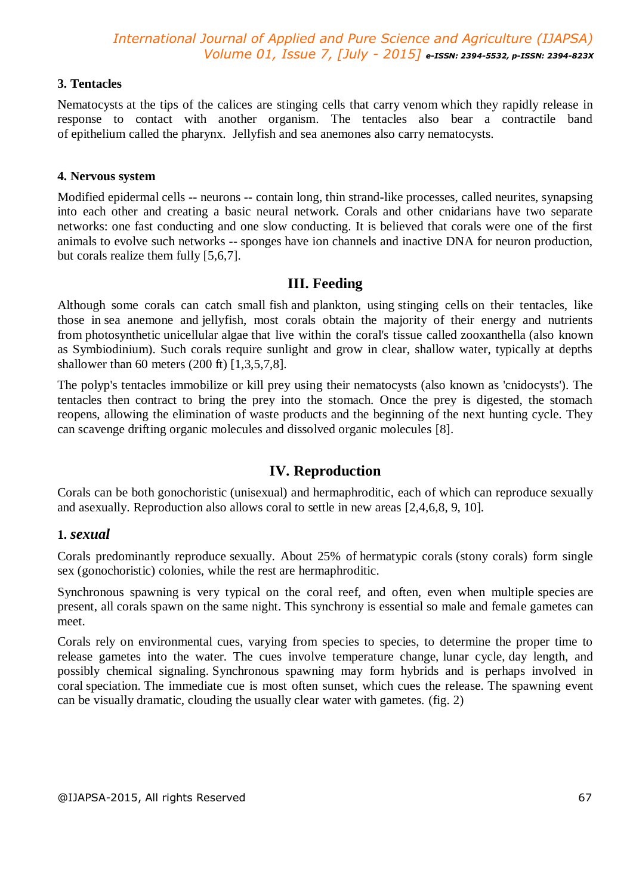#### **3. Tentacles**

Nematocysts at the tips of the calices are stinging cells that carry venom which they rapidly release in response to contact with another organism. The tentacles also bear a contractile band of epithelium called the pharynx. Jellyfish and sea anemones also carry nematocysts.

#### **4. Nervous system**

Modified epidermal cells -- neurons -- contain long, thin strand-like processes, called neurites, synapsing into each other and creating a basic neural network. Corals and other cnidarians have two separate networks: one fast conducting and one slow conducting. It is believed that corals were one of the first animals to evolve such networks -- sponges have ion channels and inactive DNA for neuron production, but corals realize them fully [5,6,7].

#### **III. Feeding**

Although some corals can catch small fish and plankton, using stinging cells on their tentacles, like those in sea anemone and jellyfish, most corals obtain the majority of their energy and nutrients from photosynthetic unicellular algae that live within the coral's tissue called zooxanthella (also known as Symbiodinium). Such corals require sunlight and grow in clear, shallow water, typically at depths shallower than 60 meters (200 ft) [1,3,5,7,8].

The polyp's tentacles immobilize or kill prey using their nematocysts (also known as 'cnidocysts'). The tentacles then contract to bring the prey into the stomach. Once the prey is digested, the stomach reopens, allowing the elimination of waste products and the beginning of the next hunting cycle. They can scavenge drifting organic molecules and dissolved organic molecules [8].

#### **IV. Reproduction**

Corals can be both gonochoristic (unisexual) and hermaphroditic, each of which can reproduce sexually and asexually. Reproduction also allows coral to settle in new areas [2,4,6,8, 9, 10].

#### **1.** *sexual*

Corals predominantly reproduce sexually. About 25% of hermatypic corals (stony corals) form single sex (gonochoristic) colonies, while the rest are hermaphroditic.

Synchronous spawning is very typical on the coral reef, and often, even when multiple species are present, all corals spawn on the same night. This synchrony is essential so male and female gametes can meet.

Corals rely on environmental cues, varying from species to species, to determine the proper time to release gametes into the water. The cues involve temperature change, lunar cycle, day length, and possibly chemical signaling. Synchronous spawning may form hybrids and is perhaps involved in coral speciation. The immediate cue is most often sunset, which cues the release. The spawning event can be visually dramatic, clouding the usually clear water with gametes. (fig. 2)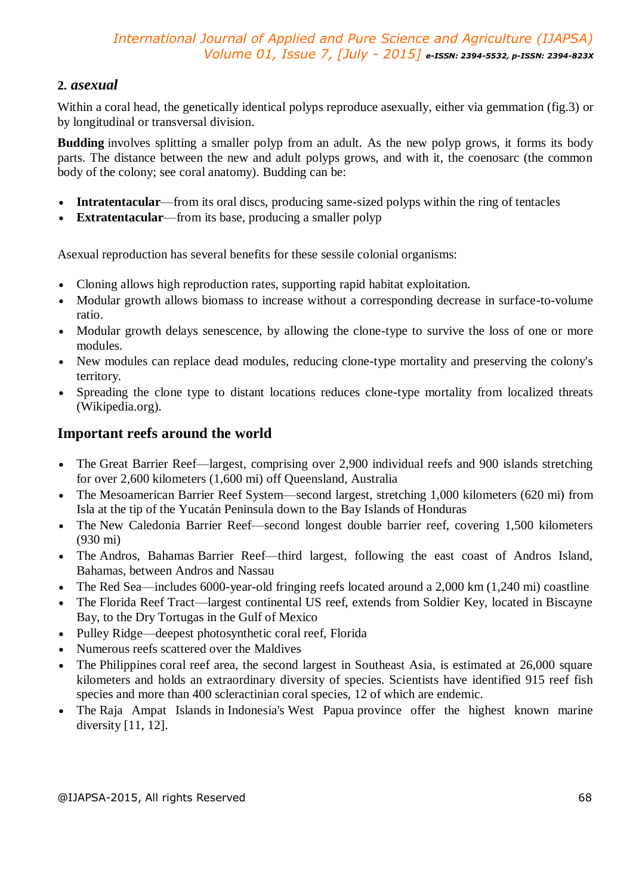#### **2.** *asexual*

Within a coral head, the genetically identical polyps reproduce asexually, either via gemmation (fig.3) or by longitudinal or transversal division.

**Budding** involves splitting a smaller polyp from an adult. As the new polyp grows, it forms its body parts. The distance between the new and adult polyps grows, and with it, the coenosarc (the common body of the colony; see coral anatomy). Budding can be:

- **Intratentacular**—from its oral discs, producing same-sized polyps within the ring of tentacles
- **Extratentacular**—from its base, producing a smaller polyp

Asexual reproduction has several benefits for these sessile colonial organisms:

- Cloning allows high reproduction rates, supporting rapid habitat exploitation.
- Modular growth allows biomass to increase without a corresponding decrease in surface-to-volume ratio.
- Modular growth delays senescence, by allowing the clone-type to survive the loss of one or more modules.
- New modules can replace dead modules, reducing clone-type mortality and preserving the colony's territory.
- Spreading the clone type to distant locations reduces clone-type mortality from localized threats (Wikipedia.org).

### **Important reefs around the world**

- The Great Barrier Reef—largest, comprising over 2,900 individual reefs and 900 islands stretching for over 2,600 kilometers (1,600 mi) off Queensland, Australia
- The Mesoamerican Barrier Reef System—second largest, stretching 1,000 kilometers (620 mi) from Isla at the tip of the Yucatán Peninsula down to the Bay Islands of Honduras
- The New Caledonia Barrier Reef—second longest double barrier reef, covering 1,500 kilometers (930 mi)
- The Andros, Bahamas Barrier Reef—third largest, following the east coast of Andros Island, Bahamas, between Andros and Nassau
- The Red Sea—includes 6000-year-old fringing reefs located around a 2,000 km (1,240 mi) coastline
- The Florida Reef Tract—largest continental US reef, extends from Soldier Key, located in Biscayne Bay, to the Dry Tortugas in the Gulf of Mexico
- Pulley Ridge—deepest photosynthetic coral reef, Florida
- Numerous reefs scattered over the Maldives
- The Philippines coral reef area, the second largest in Southeast Asia, is estimated at 26,000 square kilometers and holds an extraordinary diversity of species. Scientists have identified 915 reef fish species and more than 400 scleractinian coral species, 12 of which are endemic.
- The Raja Ampat Islands in Indonesia's West Papua province offer the highest known marine diversity [11, 12].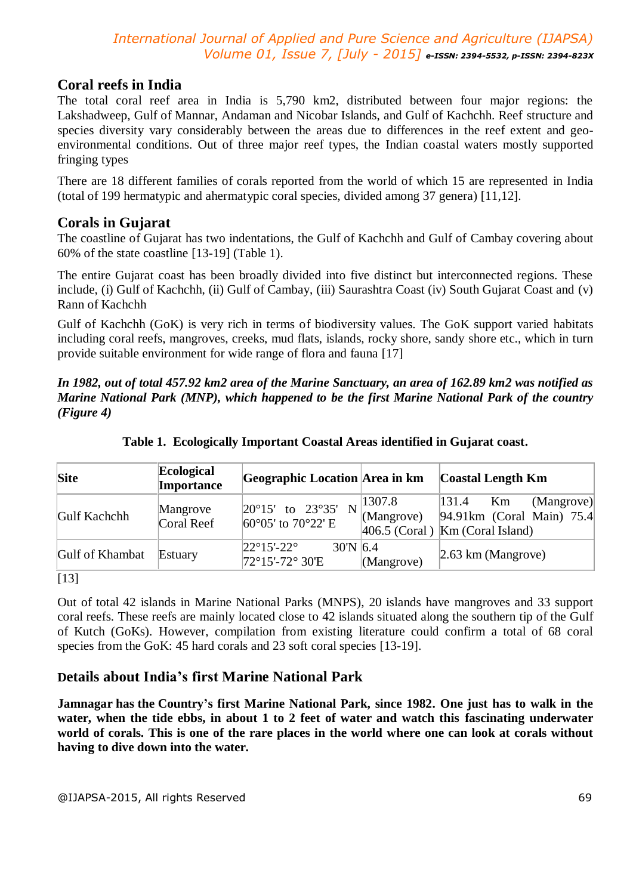## **Coral reefs in India**

The total coral reef area in India is 5,790 km2, distributed between four major regions: the Lakshadweep, Gulf of Mannar, Andaman and Nicobar Islands, and Gulf of Kachchh. Reef structure and species diversity vary considerably between the areas due to differences in the reef extent and geoenvironmental conditions. Out of three major reef types, the Indian coastal waters mostly supported fringing types

There are 18 different families of corals reported from the world of which 15 are represented in India (total of 199 hermatypic and ahermatypic coral species, divided among 37 genera) [11,12].

#### **Corals in Gujarat**

The coastline of Gujarat has two indentations, the Gulf of Kachchh and Gulf of Cambay covering about 60% of the state coastline [13-19] (Table 1).

The entire Gujarat coast has been broadly divided into five distinct but interconnected regions. These include, (i) Gulf of Kachchh, (ii) Gulf of Cambay, (iii) Saurashtra Coast (iv) South Gujarat Coast and (v) Rann of Kachchh

Gulf of Kachchh (GoK) is very rich in terms of biodiversity values. The GoK support varied habitats including coral reefs, mangroves, creeks, mud flats, islands, rocky shore, sandy shore etc., which in turn provide suitable environment for wide range of flora and fauna [17]

*In 1982, out of total 457.92 km2 area of the Marine Sanctuary, an area of 162.89 km2 was notified as Marine National Park (MNP), which happened to be the first Marine National Park of the country (Figure 4)*

| <b>Site</b>         | Ecological<br>Importance | Geographic Location Area in km                                                  |                       | Coastal Length Km                                                                                  |
|---------------------|--------------------------|---------------------------------------------------------------------------------|-----------------------|----------------------------------------------------------------------------------------------------|
| <b>Gulf Kachchh</b> | Mangrove<br>Coral Reef   | $ 20^{\circ}15'$ to $23^{\circ}35'$ N<br>60 $\degree$ 05' to 70 $\degree$ 22' E | 1307.8 <br>(Mangrove) | 131.4<br>Km<br>(Mangrove)<br>$ 94.91km$ (Coral Main) 75.4<br>$ 406.5$ (Coral) $ Km$ (Coral Island) |
| Gulf of Khambat     | Estuary                  | $22^{\circ}15' - 22^{\circ}$<br>$30'$ N 6.4<br>72°15'-72° 30'E                  | (Mangrove)            | $\left 2.63 \text{ km} \right $ (Mangrove)                                                         |

**Table 1. Ecologically Important Coastal Areas identified in Gujarat coast.**

[13]

Out of total 42 islands in Marine National Parks (MNPS), 20 islands have mangroves and 33 support coral reefs. These reefs are mainly located close to 42 islands situated along the southern tip of the Gulf of Kutch (GoKs). However, compilation from existing literature could confirm a total of 68 coral species from the GoK: 45 hard corals and 23 soft coral species [13-19].

## **Details about India's first Marine National Park**

**Jamnagar has the Country's first Marine National Park, since 1982. One just has to walk in the water, when the tide ebbs, in about 1 to 2 feet of water and watch this fascinating underwater world of corals. This is one of the rare places in the world where one can look at corals without having to dive down into the water.**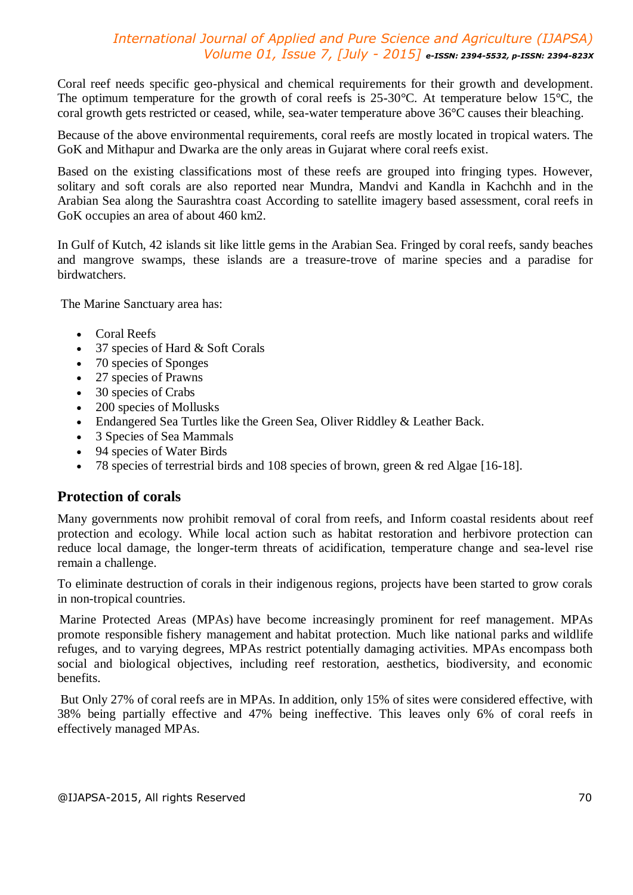Coral reef needs specific geo-physical and chemical requirements for their growth and development. The optimum temperature for the growth of coral reefs is 25-30°C. At temperature below 15°C, the coral growth gets restricted or ceased, while, sea-water temperature above 36°C causes their bleaching.

Because of the above environmental requirements, coral reefs are mostly located in tropical waters. The GoK and Mithapur and Dwarka are the only areas in Gujarat where coral reefs exist.

Based on the existing classifications most of these reefs are grouped into fringing types. However, solitary and soft corals are also reported near Mundra, Mandvi and Kandla in Kachchh and in the Arabian Sea along the Saurashtra coast According to satellite imagery based assessment, coral reefs in GoK occupies an area of about 460 km2.

In Gulf of Kutch, 42 islands sit like little gems in the Arabian Sea. Fringed by coral reefs, sandy beaches and mangrove swamps, these islands are a treasure-trove of marine species and a paradise for birdwatchers.

The Marine Sanctuary area has:

- Coral Reefs
- 37 species of Hard & Soft Corals
- 70 species of Sponges
- 27 species of Prawns
- 30 species of Crabs
- 200 species of Mollusks
- Endangered Sea Turtles like the Green Sea, Oliver Riddley & Leather Back.
- 3 Species of Sea Mammals
- 94 species of Water Birds
- 78 species of terrestrial birds and 108 species of brown, green & red Algae [16-18].

### **Protection of corals**

Many governments now prohibit removal of coral from reefs, and Inform coastal residents about reef protection and ecology. While local action such as habitat restoration and herbivore protection can reduce local damage, the longer-term threats of acidification, temperature change and sea-level rise remain a challenge.

To eliminate destruction of corals in their indigenous regions, projects have been started to grow corals in non-tropical countries.

Marine Protected Areas (MPAs) have become increasingly prominent for reef management. MPAs promote responsible fishery management and habitat protection. Much like national parks and wildlife refuges, and to varying degrees, MPAs restrict potentially damaging activities. MPAs encompass both social and biological objectives, including reef restoration, aesthetics, biodiversity, and economic benefits.

But Only 27% of coral reefs are in MPAs. In addition, only 15% of sites were considered effective, with 38% being partially effective and 47% being ineffective. This leaves only 6% of coral reefs in effectively managed MPAs.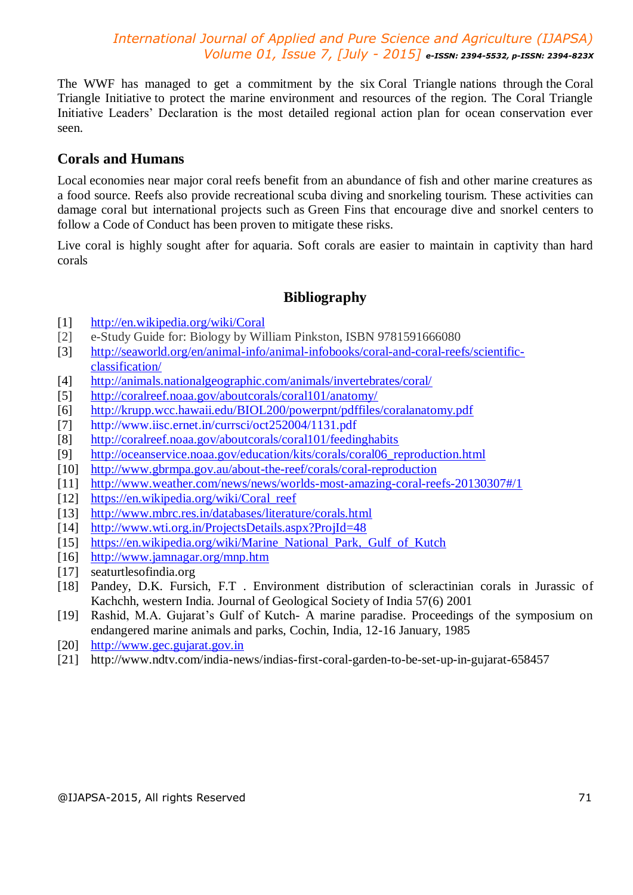The WWF has managed to get a commitment by the six Coral Triangle nations through the Coral Triangle Initiative to protect the marine environment and resources of the region. The Coral Triangle Initiative Leaders' Declaration is the most detailed regional action plan for ocean conservation ever seen.

## **Corals and Humans**

Local economies near major coral reefs benefit from an abundance of fish and other marine creatures as a food source. Reefs also provide recreational scuba diving and snorkeling tourism. These activities can damage coral but international projects such as Green Fins that encourage dive and snorkel centers to follow a Code of Conduct has been proven to mitigate these risks.

Live coral is highly sought after for aquaria. Soft corals are easier to maintain in captivity than hard corals

## **Bibliography**

- [1] http://en.wikipedia.org/wiki/Coral
- [2] e-Study Guide for: Biology by William Pinkston, ISBN 9781591666080
- [3] http://seaworld.org/en/animal-info/animal-infobooks/coral-and-coral-reefs/scientificclassification/
- [4] http://animals.nationalgeographic.com/animals/invertebrates/coral/
- [5] http://coralreef.noaa.gov/aboutcorals/coral101/anatomy/
- [6] http://krupp.wcc.hawaii.edu/BIOL200/powerpnt/pdffiles/coralanatomy.pdf
- [7] http://www.iisc.ernet.in/currsci/oct252004/1131.pdf
- [8] http://coralreef.noaa.gov/aboutcorals/coral101/feedinghabits
- [9] http://oceanservice.noaa.gov/education/kits/corals/coral06\_reproduction.html
- [10] http://www.gbrmpa.gov.au/about-the-reef/corals/coral-reproduction
- [11] http://www.weather.com/news/news/worlds-most-amazing-coral-reefs-20130307#/1
- [12] https://en.wikipedia.org/wiki/Coral\_reef
- [13] http://www.mbrc.res.in/databases/literature/corals.html
- [14] http://www.wti.org.in/ProjectsDetails.aspx?ProjId=48
- [15] https://en.wikipedia.org/wiki/Marine\_National\_Park,\_Gulf\_of\_Kutch
- [16] http://www.jamnagar.org/mnp.htm
- [17] seaturtlesofindia.org
- [18] Pandey, D.K. Fursich, F.T. Environment distribution of scleractinian corals in Jurassic of Kachchh, western India. Journal of Geological Society of India 57(6) 2001
- [19] Rashid, M.A. Gujarat's Gulf of Kutch- A marine paradise. Proceedings of the symposium on endangered marine animals and parks, Cochin, India, 12-16 January, 1985
- [20] http://www.gec.gujarat.gov.in
- [21] http://www.ndtv.com/india-news/indias-first-coral-garden-to-be-set-up-in-gujarat-658457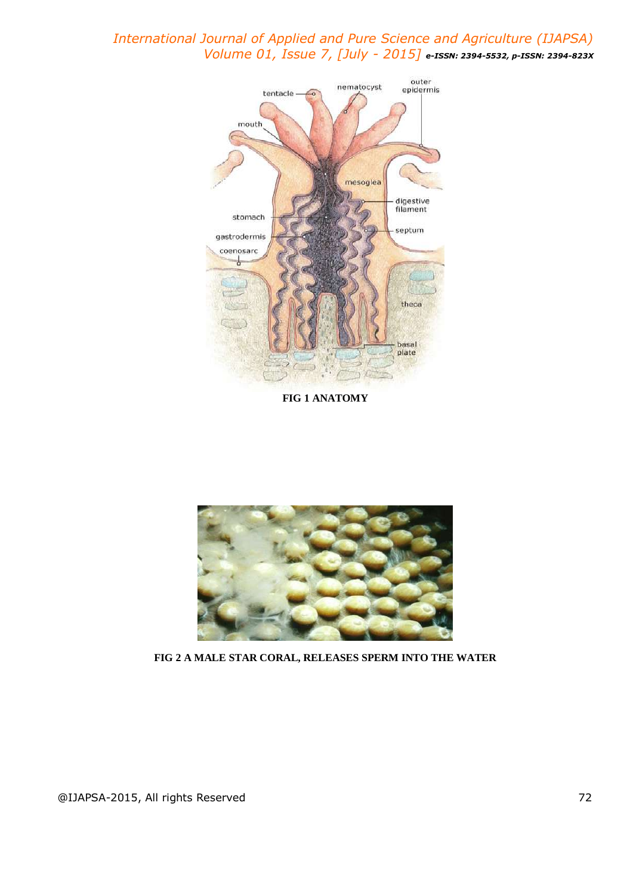

**FIG 1 ANATOMY**



**FIG 2 A MALE STAR CORAL, RELEASES SPERM INTO THE WATER**